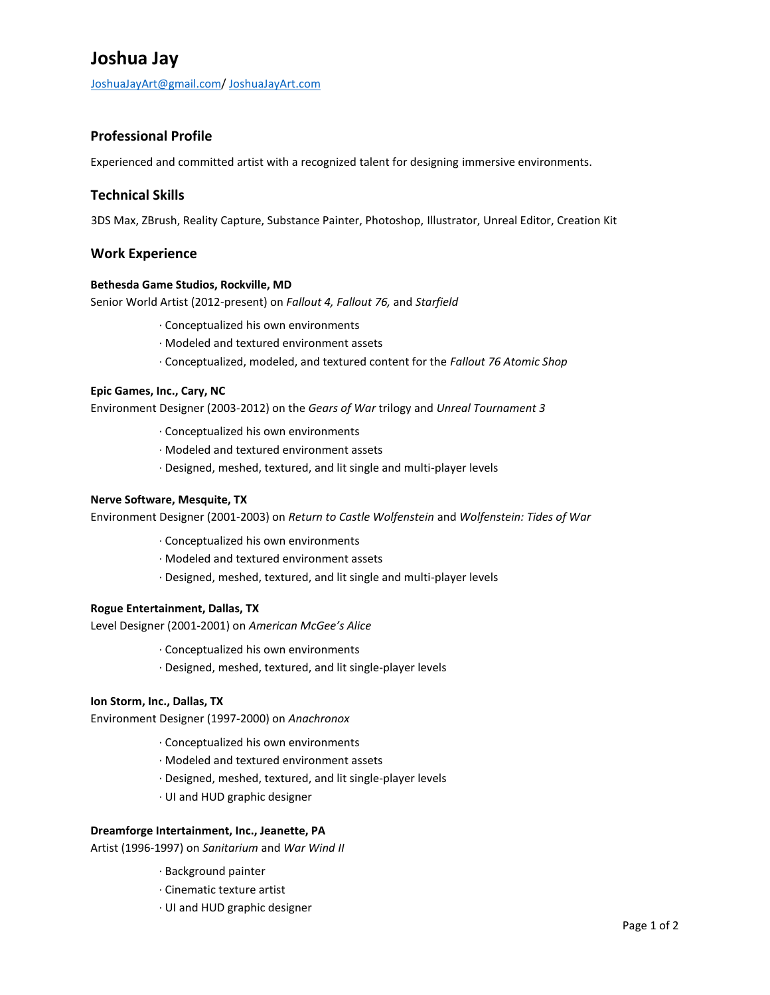# **Joshua Jay**

[JoshuaJayArt@gmail.com/](mailto:JoshuaJayArt@gmail.com) [JoshuaJayArt.com](http://www.joshuajayart.com/)

## **Professional Profile**

Experienced and committed artist with a recognized talent for designing immersive environments.

## **Technical Skills**

3DS Max, ZBrush, Reality Capture, Substance Painter, Photoshop, Illustrator, Unreal Editor, Creation Kit

### **Work Experience**

#### **Bethesda Game Studios, Rockville, MD**

Senior World Artist (2012-present) on *Fallout 4, Fallout 76,* and *Starfield*

- ∙ Conceptualized his own environments
- ∙ Modeled and textured environment assets
- ∙ Conceptualized, modeled, and textured content for the *Fallout 76 Atomic Shop*

#### **Epic Games, Inc., Cary, NC**

Environment Designer (2003-2012) on the *Gears of War* trilogy and *Unreal Tournament 3*

- ∙ Conceptualized his own environments
- ∙ Modeled and textured environment assets
- ∙ Designed, meshed, textured, and lit single and multi-player levels

#### **Nerve Software, Mesquite, TX**

Environment Designer (2001-2003) on *Return to Castle Wolfenstein* and *Wolfenstein: Tides of War*

- ∙ Conceptualized his own environments
- ∙ Modeled and textured environment assets
- ∙ Designed, meshed, textured, and lit single and multi-player levels

#### **Rogue Entertainment, Dallas, TX**

Level Designer (2001-2001) on *American McGee's Alice*

- ∙ Conceptualized his own environments
- ∙ Designed, meshed, textured, and lit single-player levels

#### **Ion Storm, Inc., Dallas, TX**

Environment Designer (1997-2000) on *Anachronox*

- ∙ Conceptualized his own environments
- ∙ Modeled and textured environment assets
- ∙ Designed, meshed, textured, and lit single-player levels
- ∙ UI and HUD graphic designer

#### **Dreamforge Intertainment, Inc., Jeanette, PA**

Artist (1996-1997) on *Sanitarium* and *War Wind II*

- ∙ Background painter
- ∙ Cinematic texture artist
- ∙ UI and HUD graphic designer